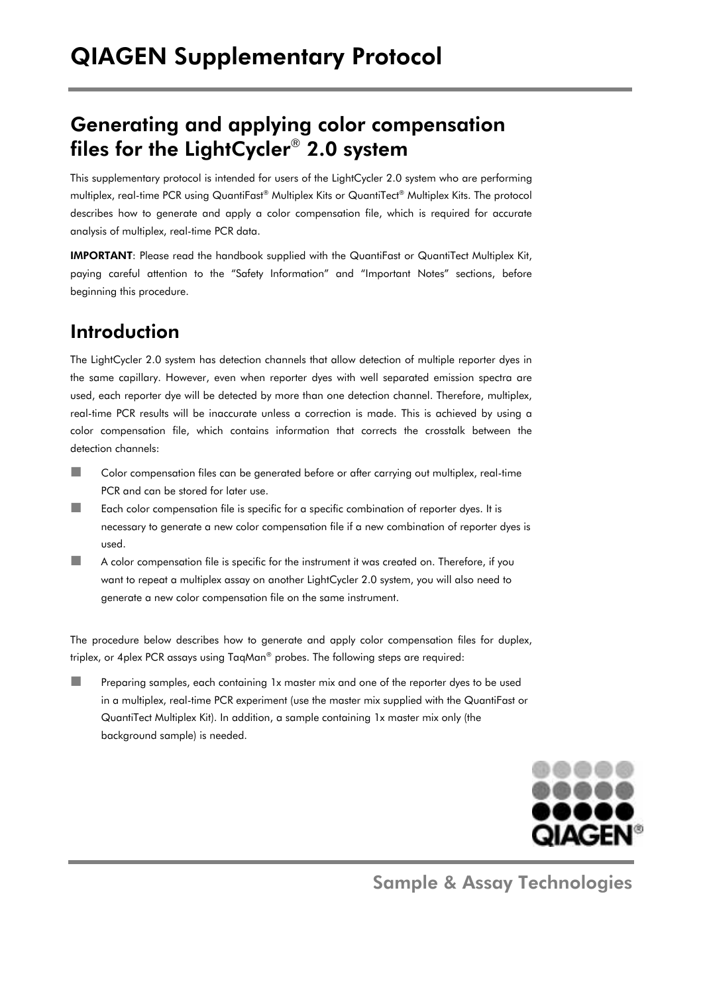# Generating and applying color compensation files for the LightCycler® 2.0 system

This supplementary protocol is intended for users of the LightCycler 2.0 system who are performing multiplex, real-time PCR using QuantiFast® Multiplex Kits or QuantiTect® Multiplex Kits. The protocol describes how to generate and apply a color compensation file, which is required for accurate analysis of multiplex, real-time PCR data.

IMPORTANT: Please read the handbook supplied with the QuantiFast or QuantiTect Multiplex Kit, paying careful attention to the "Safety Information" and "Important Notes" sections, before beginning this procedure.

# Introduction

The LightCycler 2.0 system has detection channels that allow detection of multiple reporter dyes in the same capillary. However, even when reporter dyes with well separated emission spectra are used, each reporter dye will be detected by more than one detection channel. Therefore, multiplex, real-time PCR results will be inaccurate unless a correction is made. This is achieved by using a color compensation file, which contains information that corrects the crosstalk between the detection channels:

- **Color compensation files can be generated before or after carrying out multiplex, real-time** PCR and can be stored for later use.
- Each color compensation file is specific for a specific combination of reporter dyes. It is necessary to generate a new color compensation file if a new combination of reporter dyes is used.
- A color compensation file is specific for the instrument it was created on. Therefore, if you want to repeat a multiplex assay on another LightCycler 2.0 system, you will also need to generate a new color compensation file on the same instrument.

The procedure below describes how to generate and apply color compensation files for duplex, triplex, or 4plex PCR assays using TaqMan® probes. The following steps are required:

 Preparing samples, each containing 1x master mix and one of the reporter dyes to be used in a multiplex, real-time PCR experiment (use the master mix supplied with the QuantiFast or QuantiTect Multiplex Kit). In addition, a sample containing 1x master mix only (the background sample) is needed.



Sample & Assay Technologies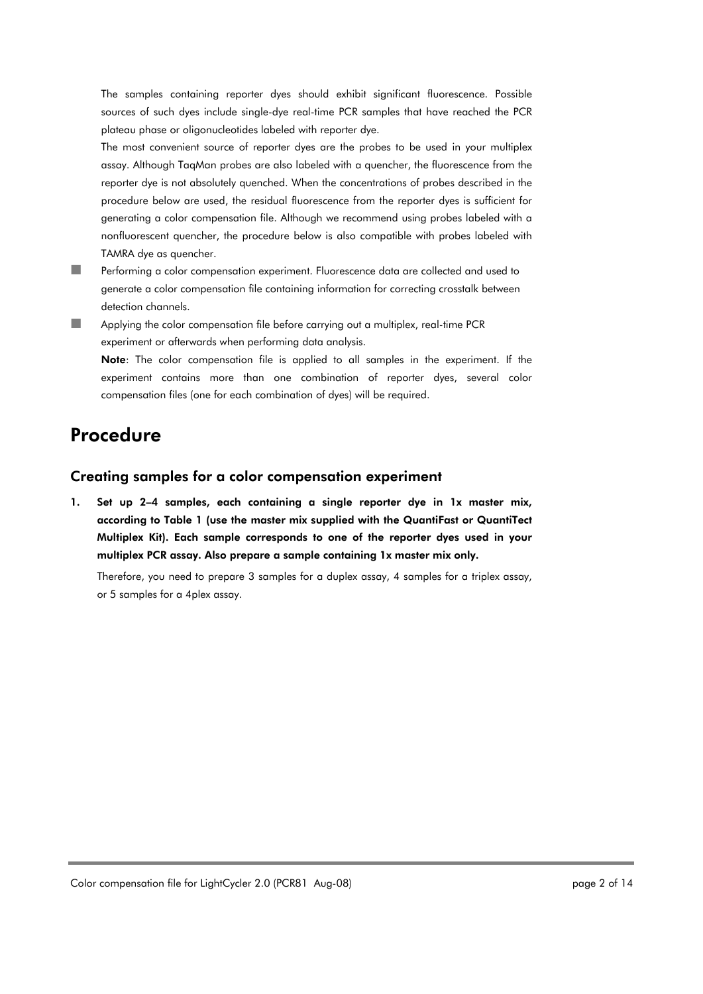The samples containing reporter dyes should exhibit significant fluorescence. Possible sources of such dyes include single-dye real-time PCR samples that have reached the PCR plateau phase or oligonucleotides labeled with reporter dye.

The most convenient source of reporter dyes are the probes to be used in your multiplex assay. Although TaqMan probes are also labeled with a quencher, the fluorescence from the reporter dye is not absolutely quenched. When the concentrations of probes described in the procedure below are used, the residual fluorescence from the reporter dyes is sufficient for generating a color compensation file. Although we recommend using probes labeled with a nonfluorescent quencher, the procedure below is also compatible with probes labeled with TAMRA dye as quencher.

- **Performing a color compensation experiment. Fluorescence data are collected and used to** generate a color compensation file containing information for correcting crosstalk between detection channels.
- **Applying the color compensation file before carrying out a multiplex, real-time PCR** experiment or afterwards when performing data analysis.

Note: The color compensation file is applied to all samples in the experiment. If the experiment contains more than one combination of reporter dyes, several color compensation files (one for each combination of dyes) will be required.

# Procedure

### Creating samples for a color compensation experiment

1. Set up 2–4 samples, each containing a single reporter dye in 1x master mix, according to Table 1 (use the master mix supplied with the QuantiFast or QuantiTect Multiplex Kit). Each sample corresponds to one of the reporter dyes used in your multiplex PCR assay. Also prepare a sample containing 1x master mix only.

Therefore, you need to prepare 3 samples for a duplex assay, 4 samples for a triplex assay, or 5 samples for a 4plex assay.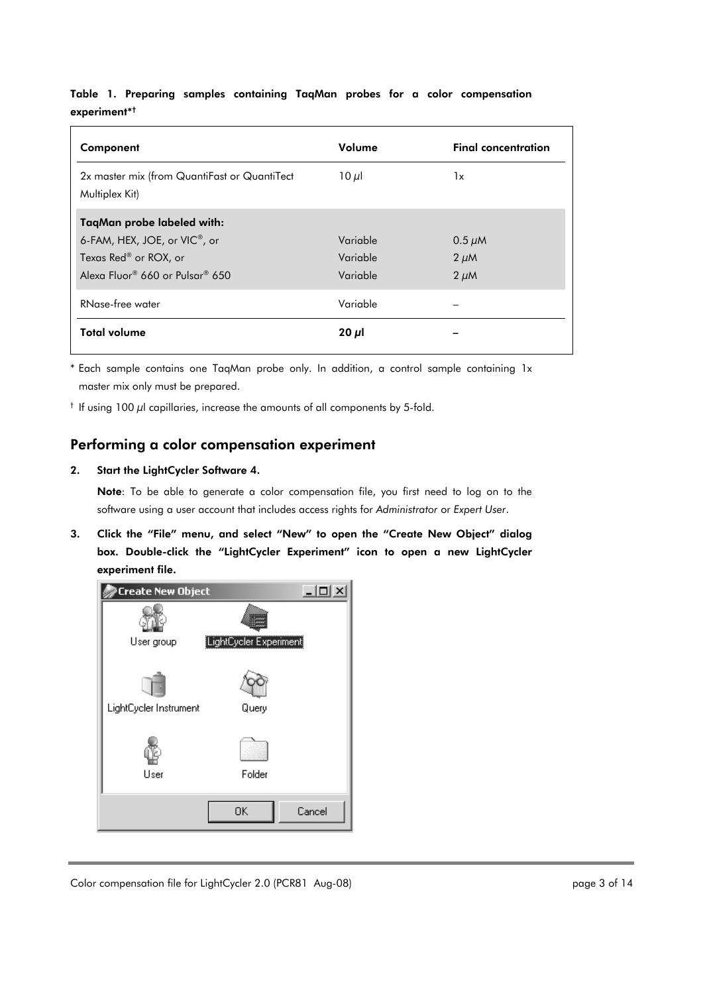### Table 1. Preparing samples containing TaqMan probes for a color compensation experiment\*†

| Component                                                      | Volume     | <b>Final concentration</b> |
|----------------------------------------------------------------|------------|----------------------------|
| 2x master mix (from QuantiFast or QuantiTect<br>Multiplex Kit) | 10 $\mu$ l | 1x                         |
| TaqMan probe labeled with:                                     |            |                            |
| 6-FAM, HEX, JOE, or VIC <sup>®</sup> , or                      | Variable   | $0.5 \mu M$                |
| Texas Red® or ROX, or                                          | Variable   | $2 \mu M$                  |
| Alexa Fluor® 660 or Pulsar® 650                                | Variable   | $2 \mu M$                  |
| RNase-free water                                               | Variable   |                            |
| <b>Total volume</b>                                            | $20 \mu$   |                            |

\* Each sample contains one TaqMan probe only. In addition, a control sample containing 1x master mix only must be prepared.

 $^{\dagger}$  If using 100  $\mu$ l capillaries, increase the amounts of all components by 5-fold.

## Performing a color compensation experiment

#### 2. Start the LightCycler Software 4.

Note: To be able to generate a color compensation file, you first need to log on to the software using a user account that includes access rights for *Administrator* or *Expert User*.

3. Click the "File" menu, and select "New" to open the "Create New Object" dialog box. Double-click the "LightCycler Experiment" icon to open a new LightCycler experiment file.

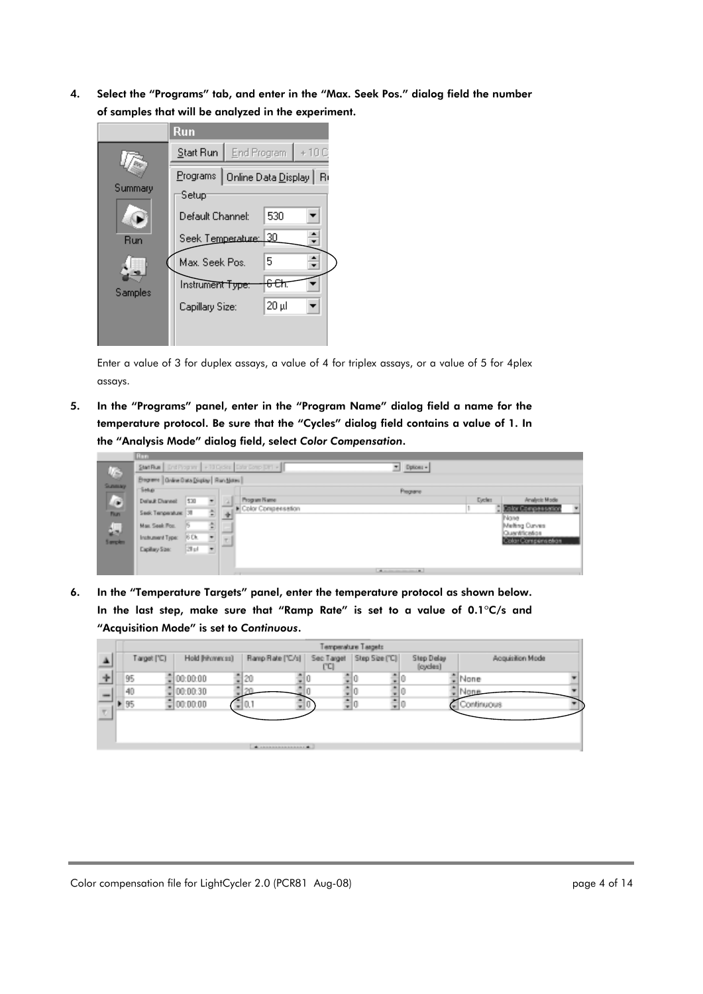4. Select the "Programs" tab, and enter in the "Max. Seek Pos." dialog field the number of samples that will be analyzed in the experiment.



Enter a value of 3 for duplex assays, a value of 4 for triplex assays, or a value of 5 for 4plex assays.

5. In the "Programs" panel, enter in the "Program Name" dialog field a name for the temperature protocol. Be sure that the "Cycles" dialog field contains a value of 1. In the "Analysis Mode" dialog field, select *Color Compensation*.

|              | <b>Ban</b>                                              |         |                          |   |                       |        |         |                                     |                          |
|--------------|---------------------------------------------------------|---------|--------------------------|---|-----------------------|--------|---------|-------------------------------------|--------------------------|
|              | Stat Rue   End Program   + 10 Order   Enter Comp [38] + |         |                          |   | - Dptices -           |        |         |                                     |                          |
| G<br>Sunnay  | Brightne   Grave Bata Display   Ran Notes               |         |                          |   |                       |        |         |                                     |                          |
| −            | Sekar.                                                  |         |                          |   | <b>Programs</b>       |        |         |                                     |                          |
| Ø            | Delaut Diannet                                          | 530     | ٠                        |   | Program Name:         |        | Dycles: | Analysis Mode                       |                          |
| <b>Flure</b> | Seek Tenperature 38                                     |         | 쇠                        | 卡 | E Color Conspensation |        |         | Color Compensation<br>None          | $\overline{\phantom{a}}$ |
|              | Max. Seek Fox.                                          |         |                          |   |                       |        |         | Melting Curves                      |                          |
| 흢            | Instrument Type:                                        | $-80k$  |                          |   |                       |        |         | Querétication<br>Color Compensation |                          |
|              | Eaplay Stre.                                            | 28 p.f. | $\overline{\phantom{a}}$ |   |                       |        |         |                                     |                          |
|              |                                                         |         |                          |   |                       |        |         |                                     |                          |
|              |                                                         |         |                          |   | A more company of     | of the |         |                                     |                          |

6. In the "Temperature Targets" panel, enter the temperature protocol as shown below. In the last step, make sure that "Ramp Rate" is set to a value of 0.1ºC/s and "Acquisition Mode" is set to *Continuous*.

|                          | Temperature Targets |                  |                        |     |                             |                        |                  |  |  |  |
|--------------------------|---------------------|------------------|------------------------|-----|-----------------------------|------------------------|------------------|--|--|--|
|                          | Target ('C)         | Hold [hihammess] | Ramp Rate ('C/s)       | ľCl | Sec Target   Step Size ("C) | Step Delay<br>(cycles) | Acquisition Mode |  |  |  |
|                          | 95                  | $= 00:00:00$     | 취20                    |     |                             |                        | ≞lNone           |  |  |  |
| $\overline{\phantom{a}}$ | 40                  | 00:00:30         | <b>PARTS</b>           |     |                             |                        | Jone             |  |  |  |
| w.                       | 95                  | $= 00.00.00$     | w.                     |     |                             |                        | Continuous       |  |  |  |
|                          |                     |                  |                        |     |                             |                        |                  |  |  |  |
|                          |                     |                  |                        |     |                             |                        |                  |  |  |  |
|                          |                     |                  | A researchers consumed |     |                             |                        |                  |  |  |  |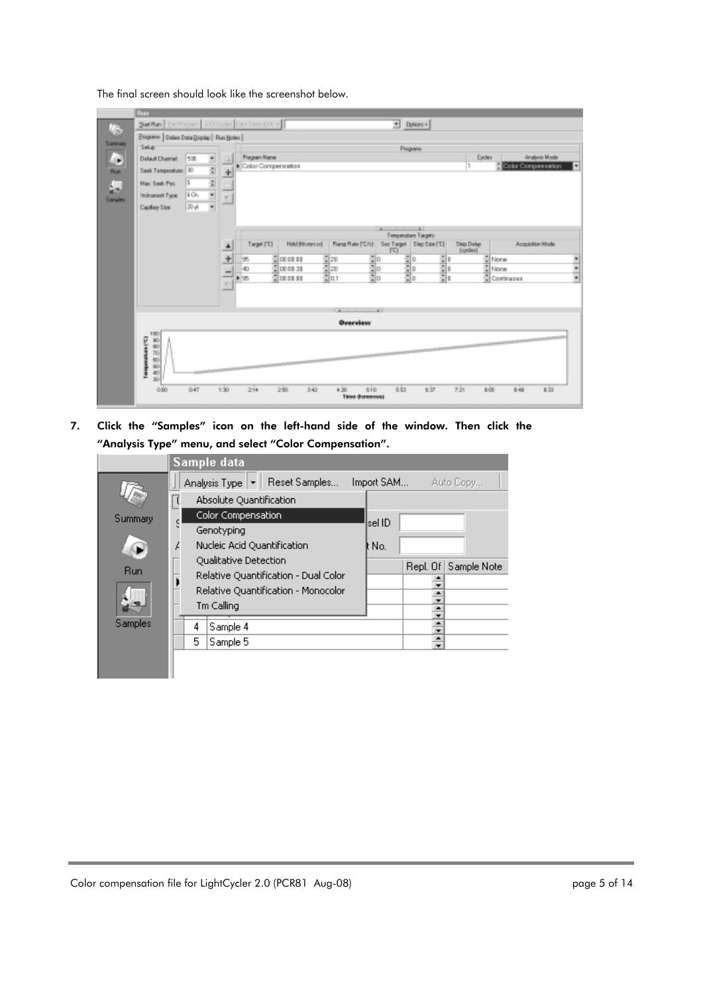The final screen should look like the screenshot below.

|          | Rum                                          |                                 |              |                    |                        |                |                                                                |             |                          |       |                            |                    |                           |                          |
|----------|----------------------------------------------|---------------------------------|--------------|--------------------|------------------------|----------------|----------------------------------------------------------------|-------------|--------------------------|-------|----------------------------|--------------------|---------------------------|--------------------------|
| <b>V</b> | Satillan End Pages - (TOcho Dity Darp Diff + |                                 |              |                    |                        |                |                                                                |             | $\blacksquare$ Dpkkers = |       |                            |                    |                           |                          |
|          | Programs   Galias Daka Display   Flun Notes  |                                 |              |                    |                        |                |                                                                |             |                          |       |                            |                    |                           |                          |
| Summary  | Setup<br>Programs                            |                                 |              |                    |                        |                |                                                                |             |                          |       |                            |                    |                           |                          |
| l.       | Default Channel:                             | 1500<br>۳                       | n.           | Fregram Mane       |                        |                |                                                                |             |                          |       | Dedes                      |                    | Analysis Mode             |                          |
| n.       | Seek Temperature: 30                         | B                               | ۰            | Color Compensation |                        |                |                                                                |             |                          |       | ٠                          |                    | <b>Color Compessation</b> |                          |
|          | Max Seek Per.                                | E<br>15                         |              |                    |                        |                |                                                                |             |                          |       |                            |                    |                           |                          |
| д        | Instrument Type:                             | 6O <sub>2</sub>                 |              |                    |                        |                |                                                                |             |                          |       |                            |                    |                           |                          |
| Sangles  |                                              | $\frac{1}{\epsilon}$<br>$20$ pl | 회            |                    |                        |                |                                                                |             |                          |       |                            |                    |                           |                          |
|          | Capillary Size:                              |                                 |              |                    |                        |                |                                                                |             |                          |       |                            |                    |                           |                          |
|          |                                              |                                 |              |                    |                        |                |                                                                | <b>LA</b>   | $-41$                    |       |                            |                    |                           |                          |
|          |                                              |                                 |              |                    |                        |                |                                                                |             | Temperature Targets      |       |                            |                    |                           |                          |
|          |                                              |                                 | ٠            | Target ['E]        |                        | Hold [Norword] | Fiamp Rate ('C/t) Sec Target   Step Size ('C)                  | $\Gamma$    |                          |       | <b>Step Delay</b><br>Eyder |                    | Azquisition Mode          |                          |
|          |                                              |                                 | 围            | los                | $\frac{4}{9}00.0881$   |                | $rac{1}{2}$ in $\frac{1}{2}$ in $\frac{1}{2}$ in $\frac{1}{2}$ |             | <b>Site</b>              | H     |                            | $\frac{a}{b}$ None |                           | ۳                        |
|          |                                              |                                 | -            | 40                 | $C = 00.00 - 30$       |                |                                                                | a a a       |                          |       |                            | $\frac{1}{n}$ None |                           | $\overline{\phantom{0}}$ |
|          |                                              |                                 | $\mathbf{r}$ | 1.25               | $\frac{1}{2}$ 00:00:00 |                |                                                                |             |                          |       |                            | Continuous         |                           |                          |
|          |                                              |                                 |              |                    |                        |                |                                                                |             |                          |       |                            |                    |                           |                          |
|          |                                              |                                 |              |                    |                        |                |                                                                |             |                          |       |                            |                    |                           |                          |
|          |                                              |                                 |              |                    |                        |                | Distances are assessed at                                      |             |                          |       |                            |                    |                           |                          |
|          |                                              |                                 |              |                    |                        |                | Overview                                                       |             |                          |       |                            |                    |                           |                          |
|          | 180<br>$\frac{10}{10}$                       |                                 |              |                    |                        |                |                                                                |             |                          |       |                            |                    |                           |                          |
|          | <b>COMMAND</b><br>70                         |                                 |              |                    |                        |                |                                                                |             |                          |       |                            |                    |                           |                          |
|          | 50<br>5b                                     |                                 |              |                    |                        |                |                                                                |             |                          |       |                            |                    |                           |                          |
|          | Ì<br>$rac{40}{30}$                           |                                 |              |                    |                        |                |                                                                |             |                          |       |                            |                    |                           |                          |
|          | 0.80                                         | OAT                             | $+30$        | 2.54               | 250                    | 342            | 4.36                                                           | 510<br>9.53 |                          | e.ior | 221                        | to's               | k33<br>big                |                          |
|          |                                              |                                 |              |                    |                        |                | Time (homeon)                                                  |             |                          |       |                            |                    |                           |                          |

7. Click the "Samples" icon on the left-hand side of the window. Then click the "Analysis Type" menu, and select "Color Compensation".

|            | Sample data                                             |            |          |             |
|------------|---------------------------------------------------------|------------|----------|-------------|
|            | Analysis Type   $\blacktriangledown$  <br>Reset Samples | Import SAM |          | Auto Copy   |
|            | Ø<br>Absolute Quantification                            |            |          |             |
| Summary    | Color Compensation                                      | lsel ID    |          |             |
|            | Genotyping                                              |            |          |             |
|            | Nucleic Acid Quantification<br>Ļ                        | lt No.     |          |             |
| <b>Run</b> | Qualitative Detection                                   |            | Repl. Of | Sample Note |
|            | Relative Quantification - Dual Color                    |            |          |             |
|            | Relative Quantification - Monocolor                     |            |          |             |
|            | Tm Calling                                              |            | ٠        |             |
| Samples    | 4<br>Sample 4                                           |            | $\div$   |             |
|            | 5<br>Sample 5                                           |            | $\div$   |             |
|            |                                                         |            |          |             |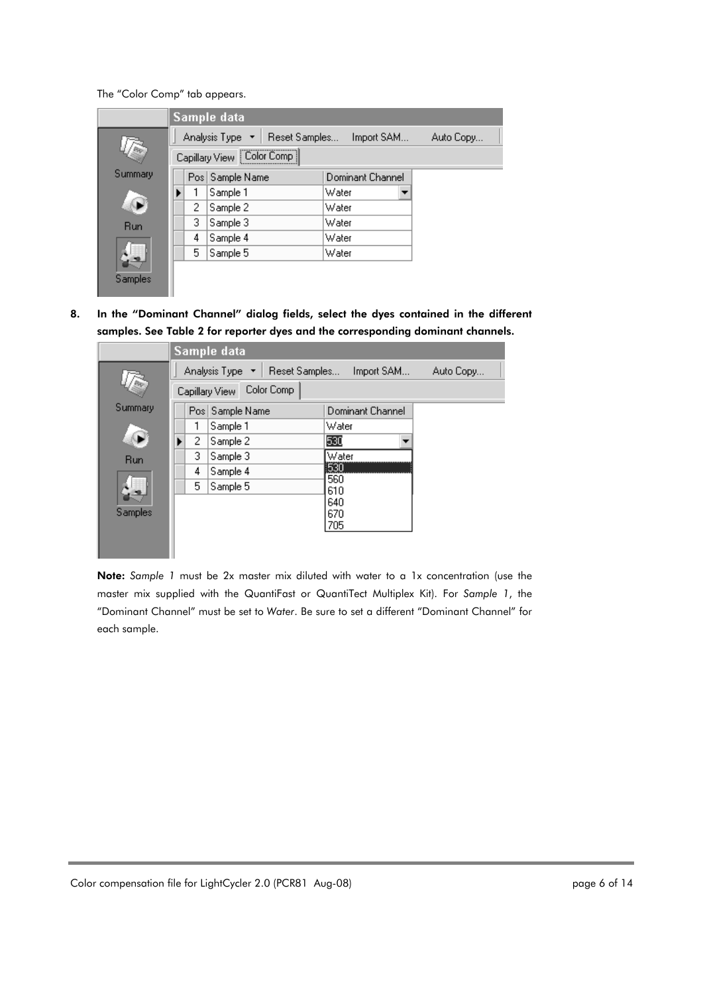The "Color Comp" tab appears.

|         |                             |   | Sample data                      |       |                  |           |  |  |
|---------|-----------------------------|---|----------------------------------|-------|------------------|-----------|--|--|
|         |                             |   | Analysis Type *<br>Reset Samples |       | Import SAM       | Auto Copy |  |  |
|         | Capillary View   Color Comp |   |                                  |       |                  |           |  |  |
| Summary |                             |   | Pos Sample Name                  |       | Dominant Channel |           |  |  |
|         |                             |   | Sample 1                         | Water |                  |           |  |  |
|         |                             | 2 | Sample 2                         | Water |                  |           |  |  |
| Run     |                             | 3 | Sample 3                         | Water |                  |           |  |  |
|         |                             | 4 | Sample 4                         | Water |                  |           |  |  |
|         |                             | 5 | Sample 5                         | Water |                  |           |  |  |
|         |                             |   |                                  |       |                  |           |  |  |
| Samples |                             |   |                                  |       |                  |           |  |  |

8. In the "Dominant Channel" dialog fields, select the dyes contained in the different samples. See Table 2 for reporter dyes and the corresponding dominant channels.

|              |                | Sample data                     |                  |           |
|--------------|----------------|---------------------------------|------------------|-----------|
|              |                | Analysis Type ▼   Reset Samples | Import SAM       | Auto Copy |
|              | Capillary View |                                 |                  |           |
| Summary      |                | Pos Sample Name                 | Dominant Channel |           |
|              |                | Sample 1                        | Water            |           |
| $\mathbb{Q}$ | 2              | Sample 2                        | 530              |           |
| <b>Run</b>   | 3              | Sample 3                        | Water            |           |
|              | 4              | Sample 4                        | 530<br>560       |           |
|              | 5              | Sample 5                        | 610              |           |
|              |                |                                 | 640              |           |
| Samples      |                |                                 | 670              |           |
|              |                |                                 | 705              |           |
|              |                |                                 |                  |           |
|              |                |                                 |                  |           |

Note: *Sample 1* must be 2x master mix diluted with water to a 1x concentration (use the master mix supplied with the QuantiFast or QuantiTect Multiplex Kit). For *Sample 1*, the "Dominant Channel" must be set to *Water*. Be sure to set a different "Dominant Channel" for each sample.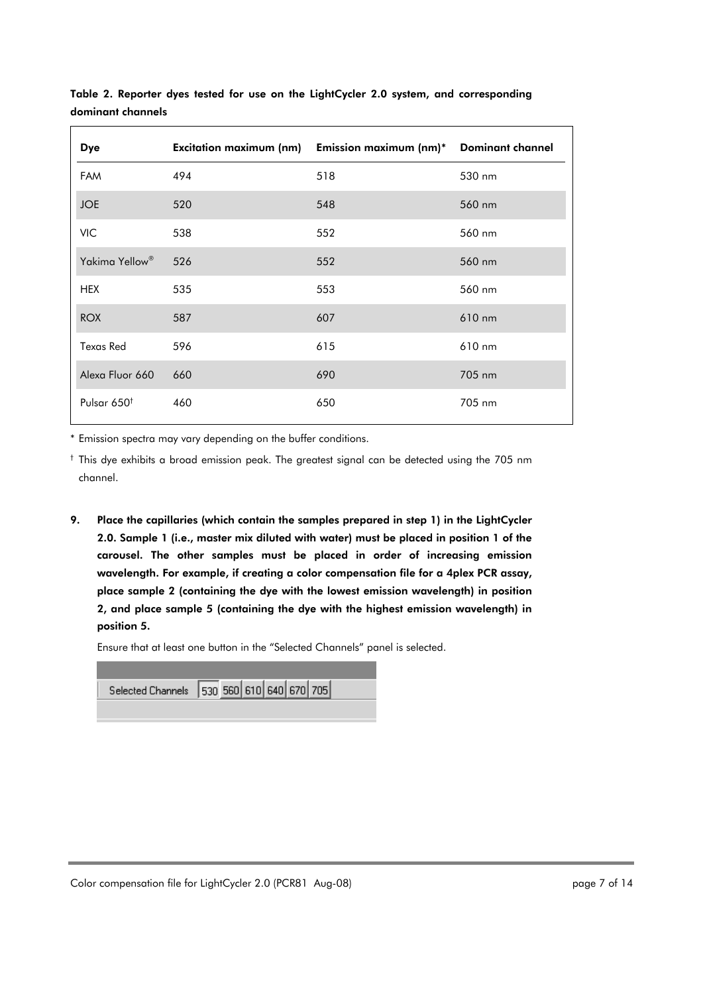| <b>Dye</b>                 |     | Excitation maximum (nm) Emission maximum (nm)* Dominant channel |        |
|----------------------------|-----|-----------------------------------------------------------------|--------|
| <b>FAM</b>                 | 494 | 518                                                             | 530 nm |
| <b>JOE</b>                 | 520 | 548                                                             | 560 nm |
| <b>VIC</b>                 | 538 | 552                                                             | 560 nm |
| Yakima Yellow <sup>®</sup> | 526 | 552                                                             | 560 nm |
| <b>HEX</b>                 | 535 | 553                                                             | 560 nm |
| <b>ROX</b>                 | 587 | 607                                                             | 610 nm |
| <b>Texas Red</b>           | 596 | 615                                                             | 610 nm |
| Alexa Fluor 660            | 660 | 690                                                             | 705 nm |
| Pulsar 650 <sup>t</sup>    | 460 | 650                                                             | 705 nm |

Table 2. Reporter dyes tested for use on the LightCycler 2.0 system, and corresponding dominant channels

\* Emission spectra may vary depending on the buffer conditions.

† This dye exhibits a broad emission peak. The greatest signal can be detected using the 705 nm channel.

9. Place the capillaries (which contain the samples prepared in step 1) in the LightCycler 2.0. Sample 1 (i.e., master mix diluted with water) must be placed in position 1 of the carousel. The other samples must be placed in order of increasing emission wavelength. For example, if creating a color compensation file for a 4plex PCR assay, place sample 2 (containing the dye with the lowest emission wavelength) in position 2, and place sample 5 (containing the dye with the highest emission wavelength) in position 5.

Ensure that at least one button in the "Selected Channels" panel is selected.

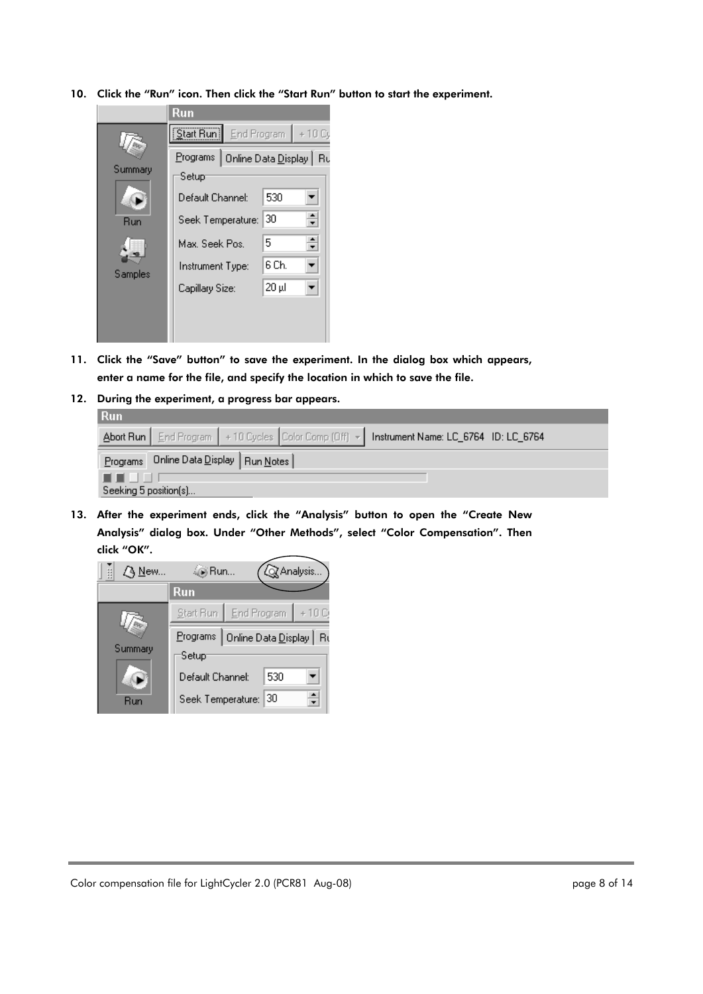10. Click the "Run" icon. Then click the "Start Run" button to start the experiment.



- 11. Click the "Save" button" to save the experiment. In the dialog box which appears, enter a name for the file, and specify the location in which to save the file.
- 12. During the experiment, a progress bar appears.

| <b>Run</b> |                                          |  |  |                                                                                                  |  |  |  |  |
|------------|------------------------------------------|--|--|--------------------------------------------------------------------------------------------------|--|--|--|--|
|            |                                          |  |  | Abort Run   End Program   +10 Cycles   Color Comp (Off) ~   Instrument Name: LC_6764 ID: LC_6764 |  |  |  |  |
|            | Programs Online Data Display   Run Notes |  |  |                                                                                                  |  |  |  |  |
| .          |                                          |  |  |                                                                                                  |  |  |  |  |
|            | Seeking 5 position(s)                    |  |  |                                                                                                  |  |  |  |  |

13. After the experiment ends, click the "Analysis" button to open the "Create New Analysis" dialog box. Under "Other Methods", select "Color Compensation". Then click "OK".

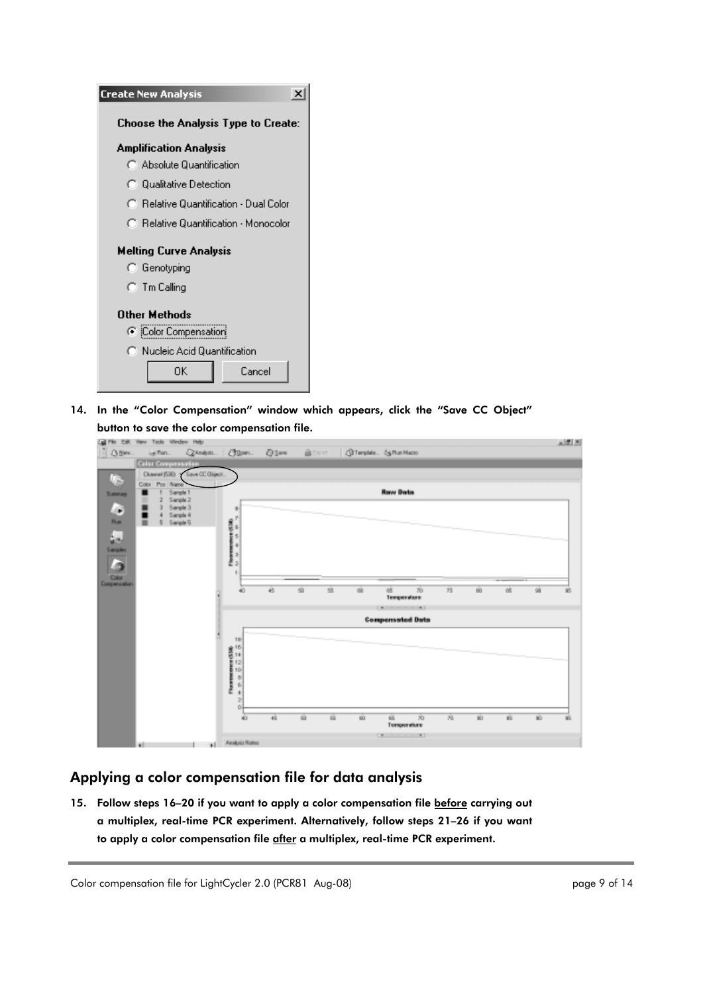| <b>Create New Analysis</b>          |                                        |        |  |  |  |  |  |
|-------------------------------------|----------------------------------------|--------|--|--|--|--|--|
| Choose the Analysis Type to Create: |                                        |        |  |  |  |  |  |
| <b>Amplification Analysis</b>       |                                        |        |  |  |  |  |  |
|                                     | C. Absolute Quantification             |        |  |  |  |  |  |
|                                     | ◯ Qualitative Detection                |        |  |  |  |  |  |
|                                     | C Relative Quantification - Dual Color |        |  |  |  |  |  |
|                                     | C Relative Quantification - Monocolor  |        |  |  |  |  |  |
|                                     | <b>Melting Curve Analysis</b>          |        |  |  |  |  |  |
| C Genotyping                        |                                        |        |  |  |  |  |  |
| ○ Tm Calling                        |                                        |        |  |  |  |  |  |
| Other Methods                       |                                        |        |  |  |  |  |  |
| C iColor Compensation               |                                        |        |  |  |  |  |  |
| C Nucleic Acid Quantification       |                                        |        |  |  |  |  |  |
|                                     | OΚ                                     | Cancel |  |  |  |  |  |

14. In the "Color Compensation" window which appears, click the "Save CC Object" button to save the color compensation file.



## Applying a color compensation file for data analysis

15. Follow steps 16-20 if you want to apply a color compensation file before carrying out a multiplex, real-time PCR experiment. Alternatively, follow steps 21–26 if you want to apply a color compensation file after a multiplex, real-time PCR experiment.

Color compensation file for LightCycler 2.0 (PCR81 Aug-08) end and the state of the page 9 of 14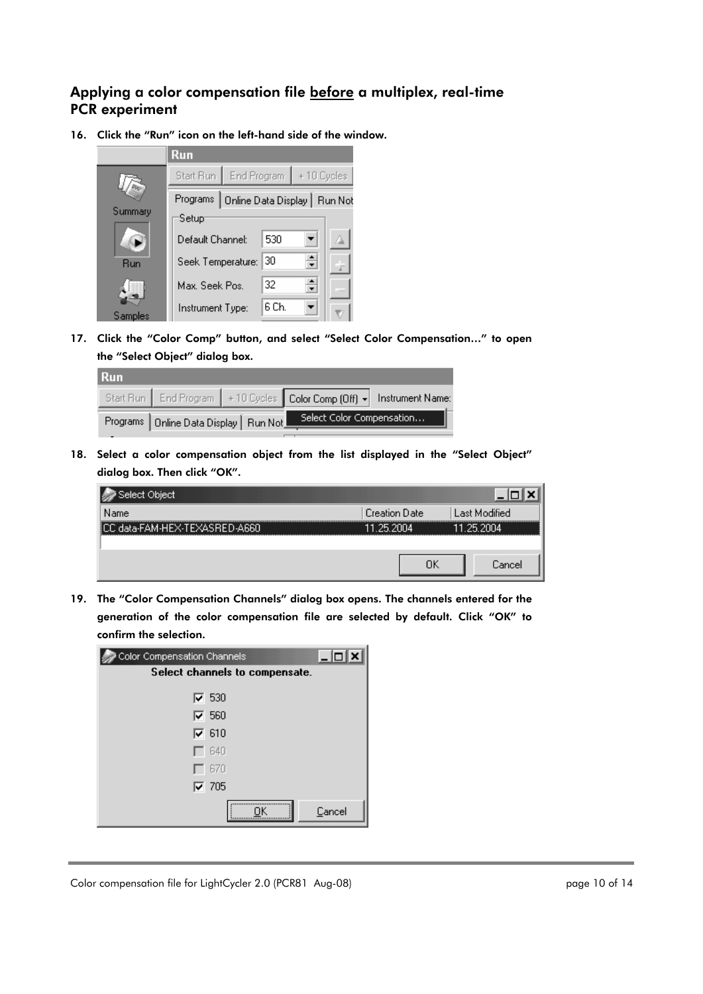### Applying a color compensation file before a multiplex, real-time PCR experiment

16. Click the "Run" icon on the left-hand side of the window.



17. Click the "Color Comp" button, and select "Select Color Compensation…" to open the "Select Object" dialog box.

| <b>Run</b> |                                          |                                                                              |  |
|------------|------------------------------------------|------------------------------------------------------------------------------|--|
|            |                                          | Start Run   End Program   +10 Cycles   Color Comp (Off) +   Instrument Name: |  |
|            | Programs   Online Data Display   Run Not | Select Color Compensation                                                    |  |

18. Select a color compensation object from the list displayed in the "Select Object" dialog box. Then click "OK".

| Select Object                      |                      |               |
|------------------------------------|----------------------|---------------|
| Name                               | <b>Creation Date</b> | Last Modified |
| data-FAM-HEX-TEXASRED-A660<br>linn | 25.2004              | 25.2004<br>11 |
|                                    |                      |               |
|                                    | ОΚ                   | <b>Lance</b>  |

19. The "Color Compensation Channels" dialog box opens. The channels entered for the generation of the color compensation file are selected by default. Click "OK" to confirm the selection.

| Color Compensation Channels    | $ \Box$ |  |  |  |
|--------------------------------|---------|--|--|--|
| Select channels to compensate. |         |  |  |  |
| $\nabla$ 530                   |         |  |  |  |
| $\nabla$ 560                   |         |  |  |  |
| $\overline{v}$ 610             |         |  |  |  |
| $\Gamma$ 640                   |         |  |  |  |
| $-670$                         |         |  |  |  |
| $\nabla$ 705                   |         |  |  |  |
|                                | Cancel  |  |  |  |

Color compensation file for LightCycler 2.0 (PCR81 Aug-08) end and the state of 14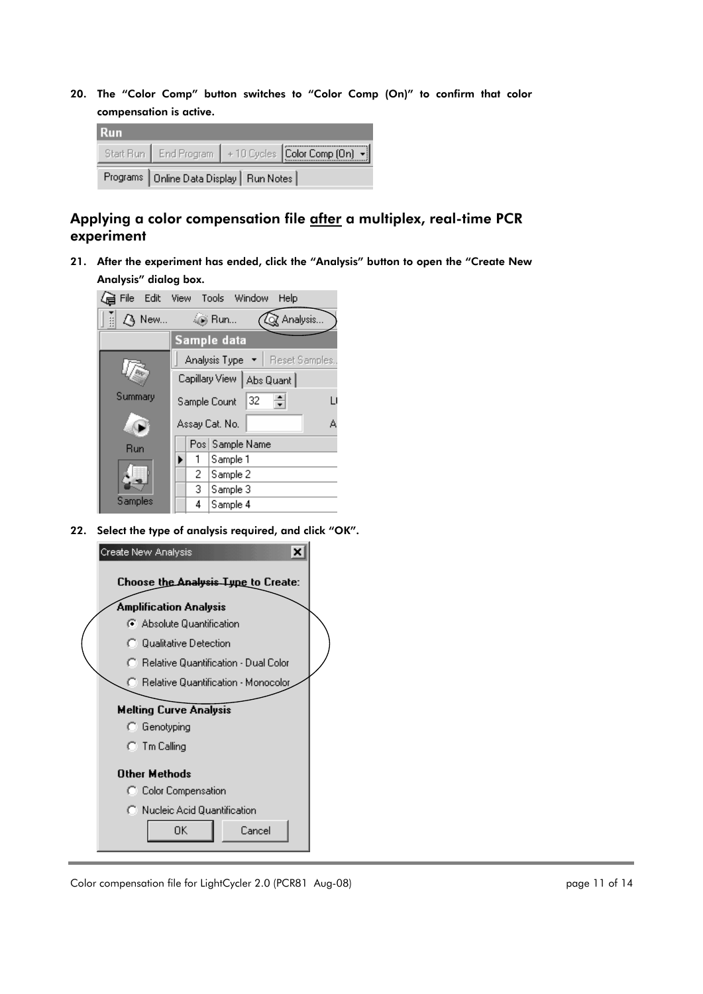20. The "Color Comp" button switches to "Color Comp (On)" to confirm that color compensation is active.

| <b>Run</b>                                 |  |  |                                                        |  |
|--------------------------------------------|--|--|--------------------------------------------------------|--|
|                                            |  |  | Start Run   End Program   +10 Cycles Color Comp (On) + |  |
| Programs   Online Data Display   Run Notes |  |  |                                                        |  |

## Applying a color compensation file after a multiplex, real-time PCR experiment

21. After the experiment has ended, click the "Analysis" button to open the "Create New Analysis" dialog box.



22. Select the type of analysis required, and click "OK".



Color compensation file for LightCycler 2.0 (PCR81 Aug-08) entitled and the state of 14 page 11 of 14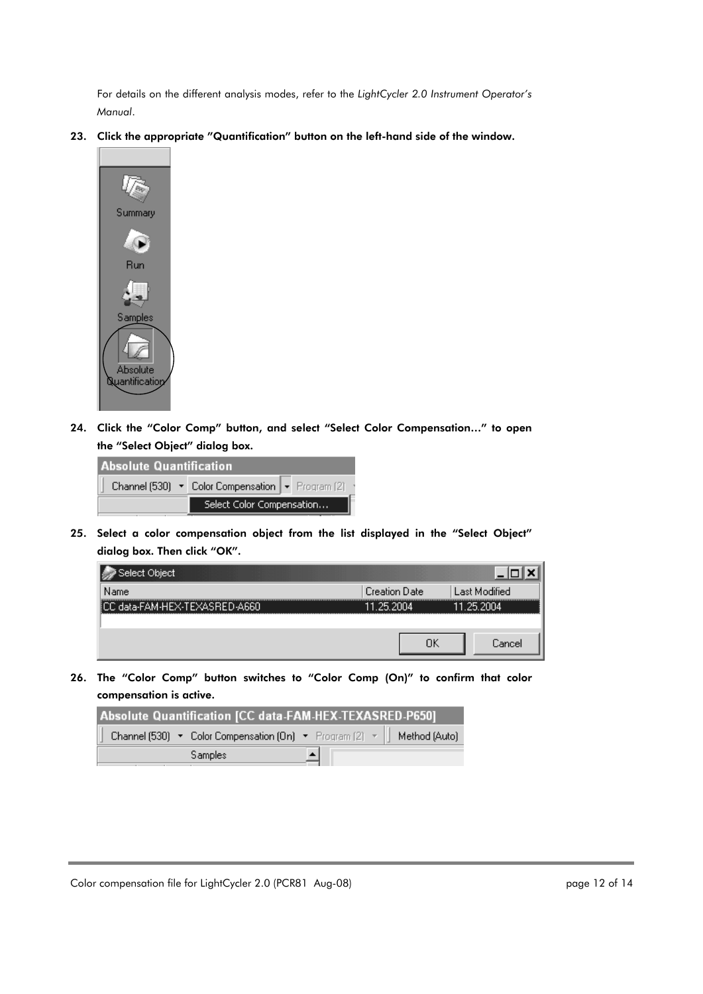For details on the different analysis modes, refer to the *LightCycler 2.0 Instrument Operator's Manual*.

23. Click the appropriate "Quantification" button on the left-hand side of the window.



24. Click the "Color Comp" button, and select "Select Color Compensation…" to open the "Select Object" dialog box.

| <b>Absolute Quantification</b> |                                                  |  |  |  |  |
|--------------------------------|--------------------------------------------------|--|--|--|--|
|                                | Channel (530) • Color Compensation • Program (2) |  |  |  |  |
|                                | Select Color Compensation                        |  |  |  |  |

25. Select a color compensation object from the list displayed in the "Select Object" dialog box. Then click "OK".



26. The "Color Comp" button switches to "Color Comp (On)" to confirm that color compensation is active.

| Absolute Quantification [CC data-FAM-HEX-TEXASRED-P650]                 |  |  |  |  |
|-------------------------------------------------------------------------|--|--|--|--|
| Channel (530) • Color Compensation (On) • Program (2) •   Method (Auto) |  |  |  |  |
| Samples                                                                 |  |  |  |  |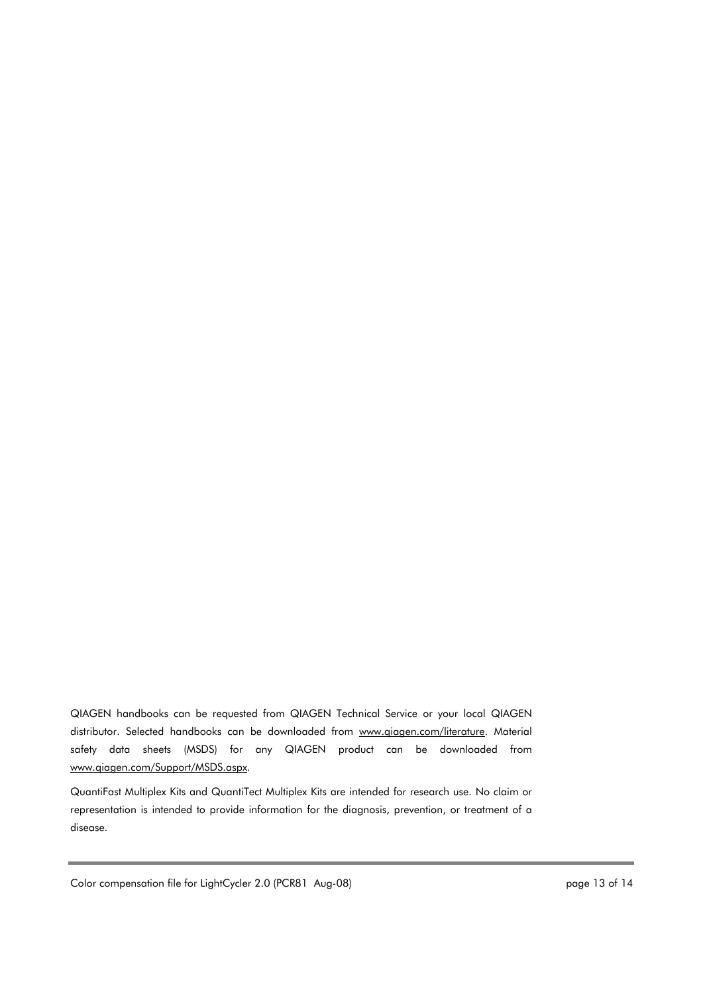QIAGEN handbooks can be requested from QIAGEN Technical Service or your local QIAGEN distributor. Selected handbooks can be downloaded from www.qiagen.com/literature. Material safety data sheets (MSDS) for any QIAGEN product can be downloaded from www.qiagen.com/Support/MSDS.aspx.

QuantiFast Multiplex Kits and QuantiTect Multiplex Kits are intended for research use. No claim or representation is intended to provide information for the diagnosis, prevention, or treatment of a disease.

Color compensation file for LightCycler 2.0 (PCR81 Aug-08) end and the state of 14